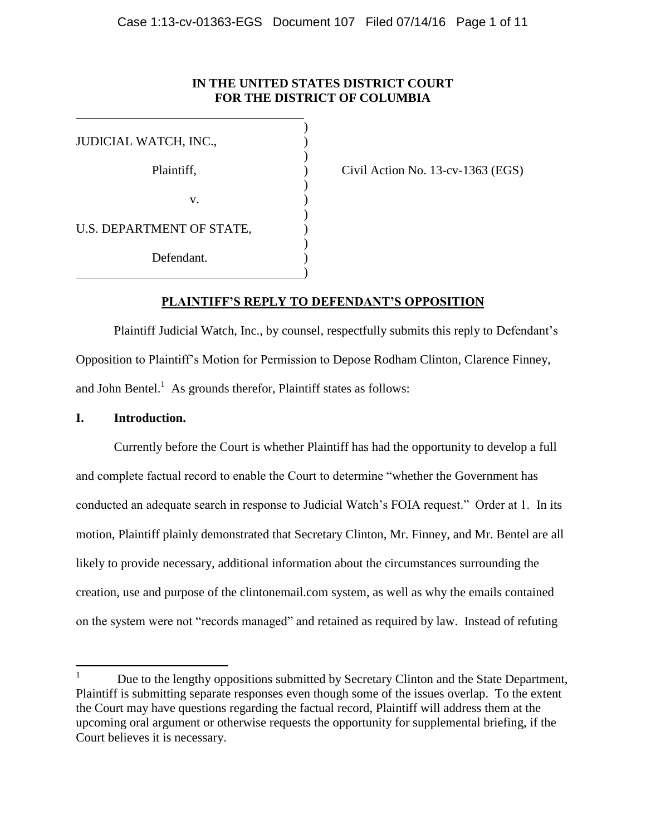# **IN THE UNITED STATES DISTRICT COURT FOR THE DISTRICT OF COLUMBIA**

| JUDICIAL WATCH, INC.,     |  |
|---------------------------|--|
| Plaintiff,                |  |
|                           |  |
| v.                        |  |
| U.S. DEPARTMENT OF STATE, |  |
| Defendant.                |  |
|                           |  |

 $Civil$  Action No. 13-cv-1363 (EGS)

## **PLAINTIFF'S REPLY TO DEFENDANT'S OPPOSITION**

Plaintiff Judicial Watch, Inc., by counsel, respectfully submits this reply to Defendant's Opposition to Plaintiff's Motion for Permission to Depose Rodham Clinton, Clarence Finney, and John Bentel.<sup>1</sup> As grounds therefor, Plaintiff states as follows:

#### **I. Introduction.**

 $\overline{a}$ 

Currently before the Court is whether Plaintiff has had the opportunity to develop a full and complete factual record to enable the Court to determine "whether the Government has conducted an adequate search in response to Judicial Watch's FOIA request." Order at 1. In its motion, Plaintiff plainly demonstrated that Secretary Clinton, Mr. Finney, and Mr. Bentel are all likely to provide necessary, additional information about the circumstances surrounding the creation, use and purpose of the clintonemail.com system, as well as why the emails contained on the system were not "records managed" and retained as required by law. Instead of refuting

<sup>&</sup>lt;sup>1</sup> Due to the lengthy oppositions submitted by Secretary Clinton and the State Department, Plaintiff is submitting separate responses even though some of the issues overlap. To the extent the Court may have questions regarding the factual record, Plaintiff will address them at the upcoming oral argument or otherwise requests the opportunity for supplemental briefing, if the Court believes it is necessary.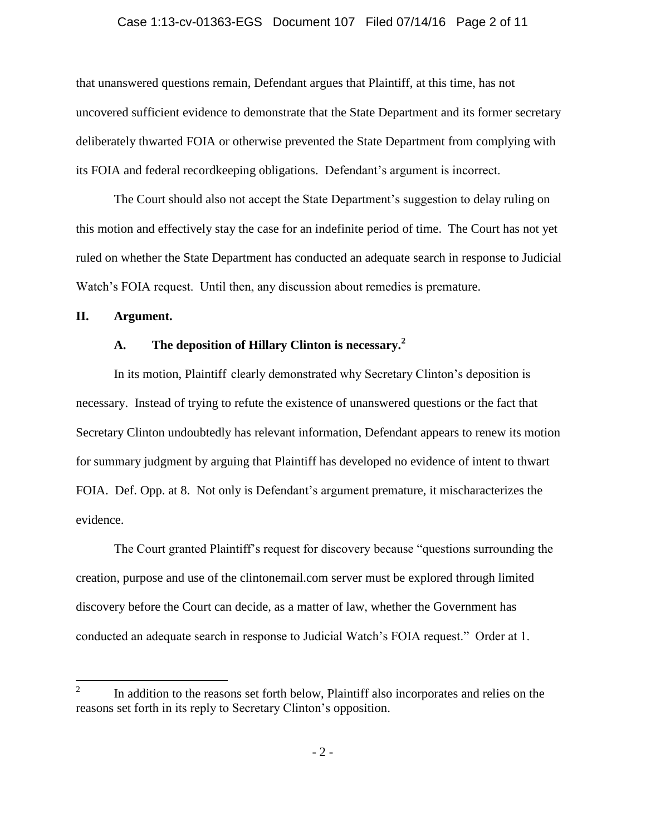#### Case 1:13-cv-01363-EGS Document 107 Filed 07/14/16 Page 2 of 11

that unanswered questions remain, Defendant argues that Plaintiff, at this time, has not uncovered sufficient evidence to demonstrate that the State Department and its former secretary deliberately thwarted FOIA or otherwise prevented the State Department from complying with its FOIA and federal recordkeeping obligations. Defendant's argument is incorrect.

The Court should also not accept the State Department's suggestion to delay ruling on this motion and effectively stay the case for an indefinite period of time. The Court has not yet ruled on whether the State Department has conducted an adequate search in response to Judicial Watch's FOIA request. Until then, any discussion about remedies is premature.

#### **II. Argument.**

# **A. The deposition of Hillary Clinton is necessary.<sup>2</sup>**

In its motion, Plaintiff clearly demonstrated why Secretary Clinton's deposition is necessary. Instead of trying to refute the existence of unanswered questions or the fact that Secretary Clinton undoubtedly has relevant information, Defendant appears to renew its motion for summary judgment by arguing that Plaintiff has developed no evidence of intent to thwart FOIA. Def. Opp. at 8. Not only is Defendant's argument premature, it mischaracterizes the evidence.

The Court granted Plaintiff's request for discovery because "questions surrounding the creation, purpose and use of the clintonemail.com server must be explored through limited discovery before the Court can decide, as a matter of law, whether the Government has conducted an adequate search in response to Judicial Watch's FOIA request." Order at 1.

 $\frac{1}{2}$ In addition to the reasons set forth below, Plaintiff also incorporates and relies on the reasons set forth in its reply to Secretary Clinton's opposition.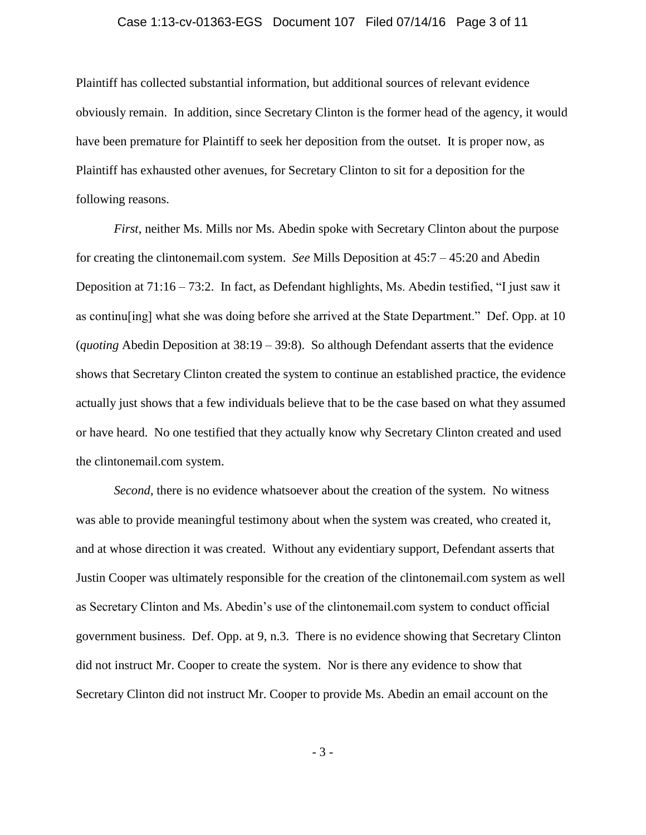#### Case 1:13-cv-01363-EGS Document 107 Filed 07/14/16 Page 3 of 11

Plaintiff has collected substantial information, but additional sources of relevant evidence obviously remain. In addition, since Secretary Clinton is the former head of the agency, it would have been premature for Plaintiff to seek her deposition from the outset. It is proper now, as Plaintiff has exhausted other avenues, for Secretary Clinton to sit for a deposition for the following reasons.

*First*, neither Ms. Mills nor Ms. Abedin spoke with Secretary Clinton about the purpose for creating the clintonemail.com system. *See* Mills Deposition at 45:7 – 45:20 and Abedin Deposition at 71:16 – 73:2. In fact, as Defendant highlights, Ms. Abedin testified, "I just saw it as continu[ing] what she was doing before she arrived at the State Department." Def. Opp. at 10 (*quoting* Abedin Deposition at 38:19 – 39:8). So although Defendant asserts that the evidence shows that Secretary Clinton created the system to continue an established practice, the evidence actually just shows that a few individuals believe that to be the case based on what they assumed or have heard. No one testified that they actually know why Secretary Clinton created and used the clintonemail.com system.

*Second*, there is no evidence whatsoever about the creation of the system. No witness was able to provide meaningful testimony about when the system was created, who created it, and at whose direction it was created. Without any evidentiary support, Defendant asserts that Justin Cooper was ultimately responsible for the creation of the clintonemail.com system as well as Secretary Clinton and Ms. Abedin's use of the clintonemail.com system to conduct official government business. Def. Opp. at 9, n.3. There is no evidence showing that Secretary Clinton did not instruct Mr. Cooper to create the system. Nor is there any evidence to show that Secretary Clinton did not instruct Mr. Cooper to provide Ms. Abedin an email account on the

- 3 -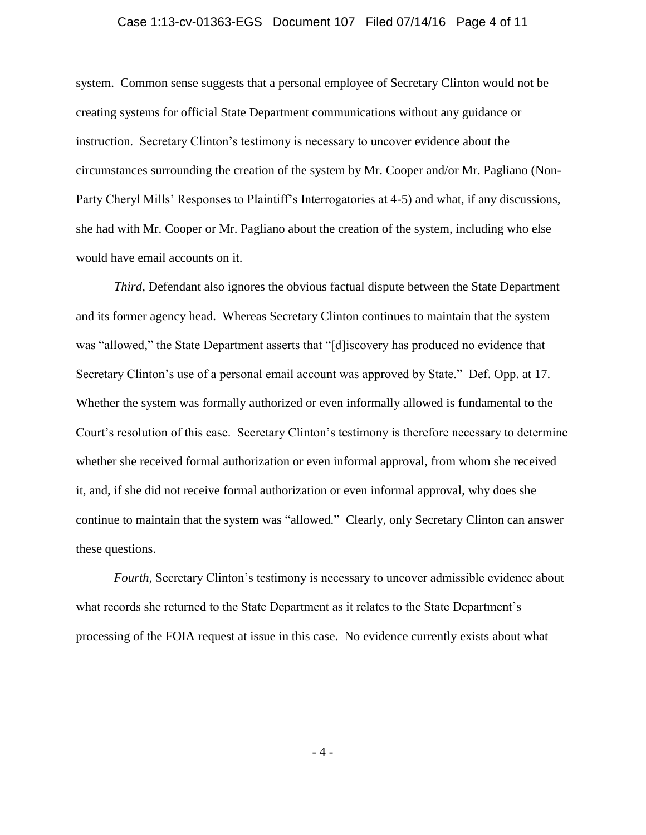#### Case 1:13-cv-01363-EGS Document 107 Filed 07/14/16 Page 4 of 11

system. Common sense suggests that a personal employee of Secretary Clinton would not be creating systems for official State Department communications without any guidance or instruction. Secretary Clinton's testimony is necessary to uncover evidence about the circumstances surrounding the creation of the system by Mr. Cooper and/or Mr. Pagliano (Non-Party Cheryl Mills' Responses to Plaintiff's Interrogatories at 4-5) and what, if any discussions, she had with Mr. Cooper or Mr. Pagliano about the creation of the system, including who else would have email accounts on it.

*Third*, Defendant also ignores the obvious factual dispute between the State Department and its former agency head. Whereas Secretary Clinton continues to maintain that the system was "allowed," the State Department asserts that "[d]iscovery has produced no evidence that Secretary Clinton's use of a personal email account was approved by State." Def. Opp. at 17. Whether the system was formally authorized or even informally allowed is fundamental to the Court's resolution of this case. Secretary Clinton's testimony is therefore necessary to determine whether she received formal authorization or even informal approval, from whom she received it, and, if she did not receive formal authorization or even informal approval, why does she continue to maintain that the system was "allowed." Clearly, only Secretary Clinton can answer these questions.

*Fourth*, Secretary Clinton's testimony is necessary to uncover admissible evidence about what records she returned to the State Department as it relates to the State Department's processing of the FOIA request at issue in this case. No evidence currently exists about what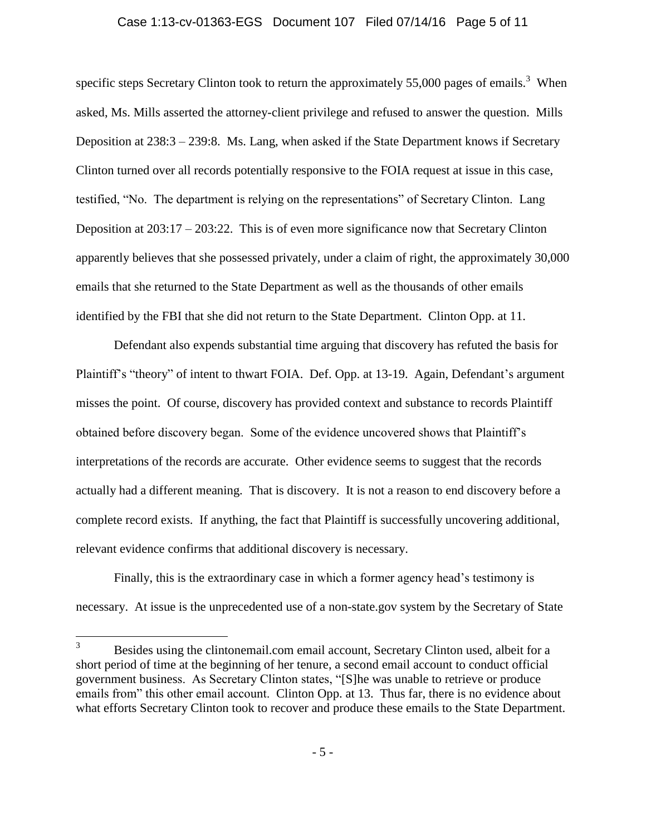#### Case 1:13-cv-01363-EGS Document 107 Filed 07/14/16 Page 5 of 11

specific steps Secretary Clinton took to return the approximately 55,000 pages of emails.<sup>3</sup> When asked, Ms. Mills asserted the attorney-client privilege and refused to answer the question. Mills Deposition at 238:3 – 239:8. Ms. Lang, when asked if the State Department knows if Secretary Clinton turned over all records potentially responsive to the FOIA request at issue in this case, testified, "No. The department is relying on the representations" of Secretary Clinton. Lang Deposition at 203:17 – 203:22. This is of even more significance now that Secretary Clinton apparently believes that she possessed privately, under a claim of right, the approximately 30,000 emails that she returned to the State Department as well as the thousands of other emails identified by the FBI that she did not return to the State Department. Clinton Opp. at 11.

Defendant also expends substantial time arguing that discovery has refuted the basis for Plaintiff's "theory" of intent to thwart FOIA. Def. Opp. at 13-19. Again, Defendant's argument misses the point. Of course, discovery has provided context and substance to records Plaintiff obtained before discovery began. Some of the evidence uncovered shows that Plaintiff's interpretations of the records are accurate. Other evidence seems to suggest that the records actually had a different meaning. That is discovery. It is not a reason to end discovery before a complete record exists. If anything, the fact that Plaintiff is successfully uncovering additional, relevant evidence confirms that additional discovery is necessary.

Finally, this is the extraordinary case in which a former agency head's testimony is necessary. At issue is the unprecedented use of a non-state.gov system by the Secretary of State

 $\overline{3}$ Besides using the clintonemail.com email account, Secretary Clinton used, albeit for a short period of time at the beginning of her tenure, a second email account to conduct official government business. As Secretary Clinton states, "[S]he was unable to retrieve or produce emails from" this other email account. Clinton Opp. at 13. Thus far, there is no evidence about what efforts Secretary Clinton took to recover and produce these emails to the State Department.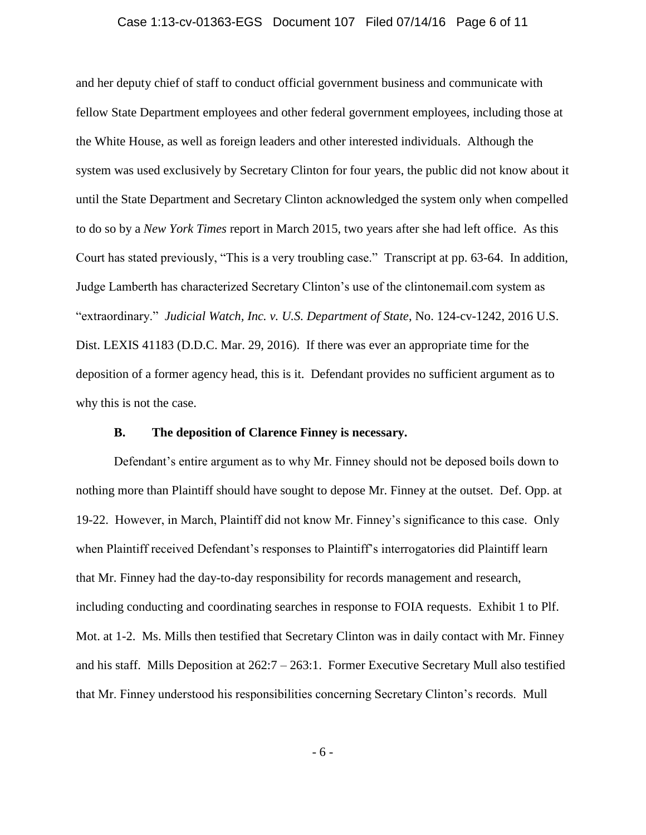#### Case 1:13-cv-01363-EGS Document 107 Filed 07/14/16 Page 6 of 11

and her deputy chief of staff to conduct official government business and communicate with fellow State Department employees and other federal government employees, including those at the White House, as well as foreign leaders and other interested individuals. Although the system was used exclusively by Secretary Clinton for four years, the public did not know about it until the State Department and Secretary Clinton acknowledged the system only when compelled to do so by a *New York Times* report in March 2015, two years after she had left office. As this Court has stated previously, "This is a very troubling case." Transcript at pp. 63-64. In addition, Judge Lamberth has characterized Secretary Clinton's use of the clintonemail.com system as "extraordinary." *Judicial Watch, Inc. v. U.S. Department of State*, No. 124-cv-1242, 2016 U.S. Dist. LEXIS 41183 (D.D.C. Mar. 29, 2016). If there was ever an appropriate time for the deposition of a former agency head, this is it. Defendant provides no sufficient argument as to why this is not the case.

#### **B. The deposition of Clarence Finney is necessary.**

Defendant's entire argument as to why Mr. Finney should not be deposed boils down to nothing more than Plaintiff should have sought to depose Mr. Finney at the outset. Def. Opp. at 19-22. However, in March, Plaintiff did not know Mr. Finney's significance to this case. Only when Plaintiff received Defendant's responses to Plaintiff's interrogatories did Plaintiff learn that Mr. Finney had the day-to-day responsibility for records management and research, including conducting and coordinating searches in response to FOIA requests. Exhibit 1 to Plf. Mot. at 1-2. Ms. Mills then testified that Secretary Clinton was in daily contact with Mr. Finney and his staff. Mills Deposition at 262:7 – 263:1. Former Executive Secretary Mull also testified that Mr. Finney understood his responsibilities concerning Secretary Clinton's records. Mull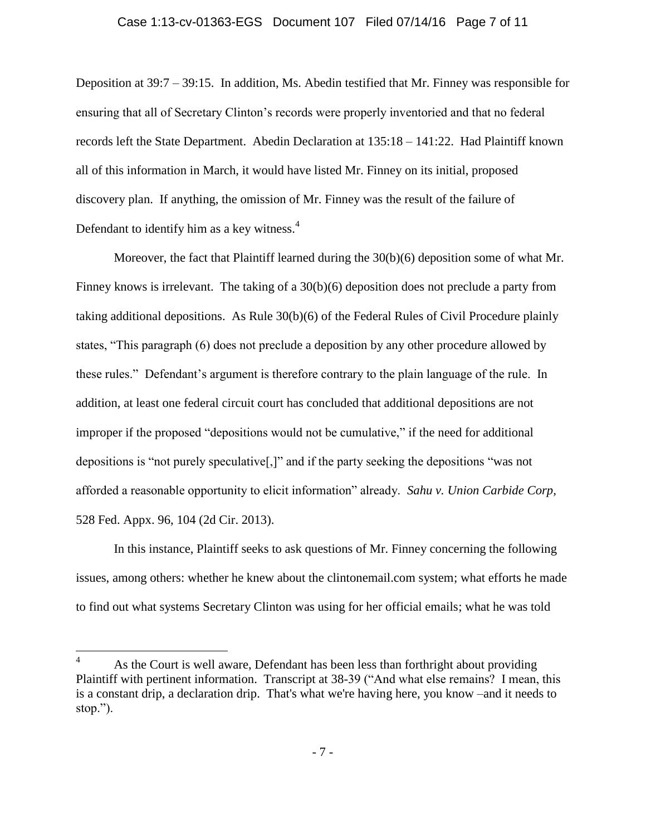#### Case 1:13-cv-01363-EGS Document 107 Filed 07/14/16 Page 7 of 11

Deposition at 39:7 – 39:15. In addition, Ms. Abedin testified that Mr. Finney was responsible for ensuring that all of Secretary Clinton's records were properly inventoried and that no federal records left the State Department. Abedin Declaration at 135:18 – 141:22. Had Plaintiff known all of this information in March, it would have listed Mr. Finney on its initial, proposed discovery plan. If anything, the omission of Mr. Finney was the result of the failure of Defendant to identify him as a key witness. $4$ 

Moreover, the fact that Plaintiff learned during the  $30(b)(6)$  deposition some of what Mr. Finney knows is irrelevant. The taking of a 30(b)(6) deposition does not preclude a party from taking additional depositions. As Rule 30(b)(6) of the Federal Rules of Civil Procedure plainly states, "This paragraph (6) does not preclude a deposition by any other procedure allowed by these rules." Defendant's argument is therefore contrary to the plain language of the rule. In addition, at least one federal circuit court has concluded that additional depositions are not improper if the proposed "depositions would not be cumulative," if the need for additional depositions is "not purely speculative[,]" and if the party seeking the depositions "was not afforded a reasonable opportunity to elicit information" already. *Sahu v. Union Carbide Corp,*  528 Fed. Appx. 96, 104 (2d Cir. 2013).

In this instance, Plaintiff seeks to ask questions of Mr. Finney concerning the following issues, among others: whether he knew about the clintonemail.com system; what efforts he made to find out what systems Secretary Clinton was using for her official emails; what he was told

 $\overline{a}$ 

As the Court is well aware, Defendant has been less than forthright about providing Plaintiff with pertinent information. Transcript at 38-39 ("And what else remains? I mean, this is a constant drip, a declaration drip. That's what we're having here, you know –and it needs to stop.").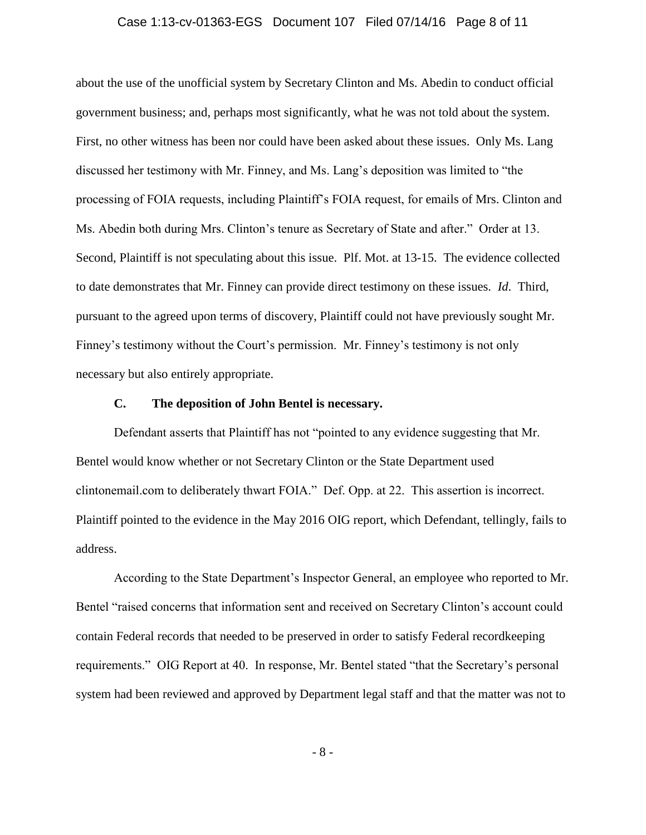#### Case 1:13-cv-01363-EGS Document 107 Filed 07/14/16 Page 8 of 11

about the use of the unofficial system by Secretary Clinton and Ms. Abedin to conduct official government business; and, perhaps most significantly, what he was not told about the system. First, no other witness has been nor could have been asked about these issues. Only Ms. Lang discussed her testimony with Mr. Finney, and Ms. Lang's deposition was limited to "the processing of FOIA requests, including Plaintiff's FOIA request, for emails of Mrs. Clinton and Ms. Abedin both during Mrs. Clinton's tenure as Secretary of State and after." Order at 13. Second, Plaintiff is not speculating about this issue. Plf. Mot. at 13-15. The evidence collected to date demonstrates that Mr. Finney can provide direct testimony on these issues. *Id*. Third, pursuant to the agreed upon terms of discovery, Plaintiff could not have previously sought Mr. Finney's testimony without the Court's permission. Mr. Finney's testimony is not only necessary but also entirely appropriate.

#### **C. The deposition of John Bentel is necessary.**

Defendant asserts that Plaintiff has not "pointed to any evidence suggesting that Mr. Bentel would know whether or not Secretary Clinton or the State Department used clintonemail.com to deliberately thwart FOIA." Def. Opp. at 22. This assertion is incorrect. Plaintiff pointed to the evidence in the May 2016 OIG report, which Defendant, tellingly, fails to address.

According to the State Department's Inspector General, an employee who reported to Mr. Bentel "raised concerns that information sent and received on Secretary Clinton's account could contain Federal records that needed to be preserved in order to satisfy Federal recordkeeping requirements." OIG Report at 40. In response, Mr. Bentel stated "that the Secretary's personal system had been reviewed and approved by Department legal staff and that the matter was not to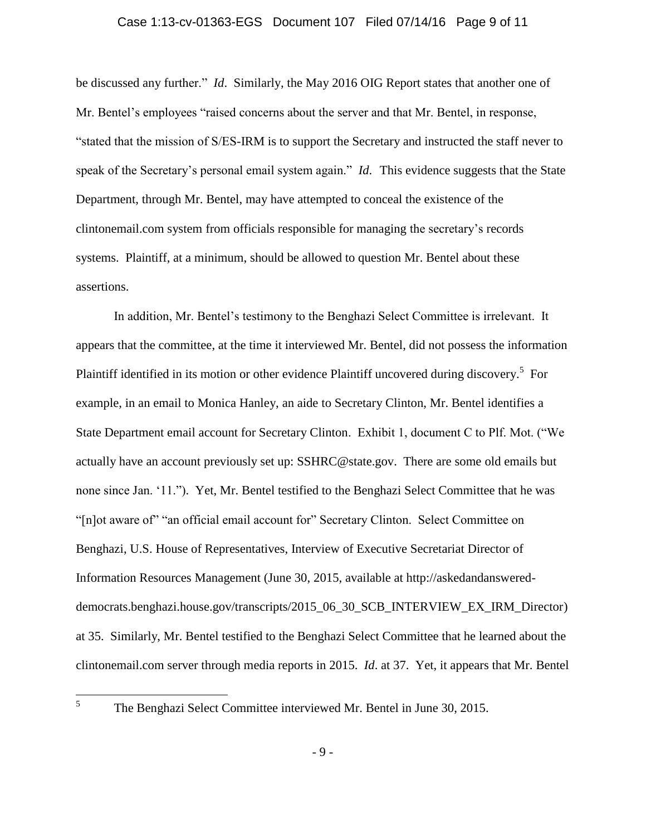#### Case 1:13-cv-01363-EGS Document 107 Filed 07/14/16 Page 9 of 11

be discussed any further." *Id*. Similarly, the May 2016 OIG Report states that another one of Mr. Bentel's employees "raised concerns about the server and that Mr. Bentel, in response, "stated that the mission of S/ES-IRM is to support the Secretary and instructed the staff never to speak of the Secretary's personal email system again." *Id*. This evidence suggests that the State Department, through Mr. Bentel, may have attempted to conceal the existence of the clintonemail.com system from officials responsible for managing the secretary's records systems. Plaintiff, at a minimum, should be allowed to question Mr. Bentel about these assertions.

In addition, Mr. Bentel's testimony to the Benghazi Select Committee is irrelevant. It appears that the committee, at the time it interviewed Mr. Bentel, did not possess the information Plaintiff identified in its motion or other evidence Plaintiff uncovered during discovery.<sup>5</sup> For example, in an email to Monica Hanley, an aide to Secretary Clinton, Mr. Bentel identifies a State Department email account for Secretary Clinton. Exhibit 1, document C to Plf. Mot. ("We actually have an account previously set up: SSHRC@state.gov. There are some old emails but none since Jan. '11."). Yet, Mr. Bentel testified to the Benghazi Select Committee that he was "[n]ot aware of" "an official email account for" Secretary Clinton. Select Committee on Benghazi, U.S. House of Representatives, Interview of Executive Secretariat Director of Information Resources Management (June 30, 2015, available at http://askedandanswereddemocrats.benghazi.house.gov/transcripts/2015\_06\_30\_SCB\_INTERVIEW\_EX\_IRM\_Director) at 35. Similarly, Mr. Bentel testified to the Benghazi Select Committee that he learned about the clintonemail.com server through media reports in 2015. *Id*. at 37. Yet, it appears that Mr. Bentel

 5

The Benghazi Select Committee interviewed Mr. Bentel in June 30, 2015.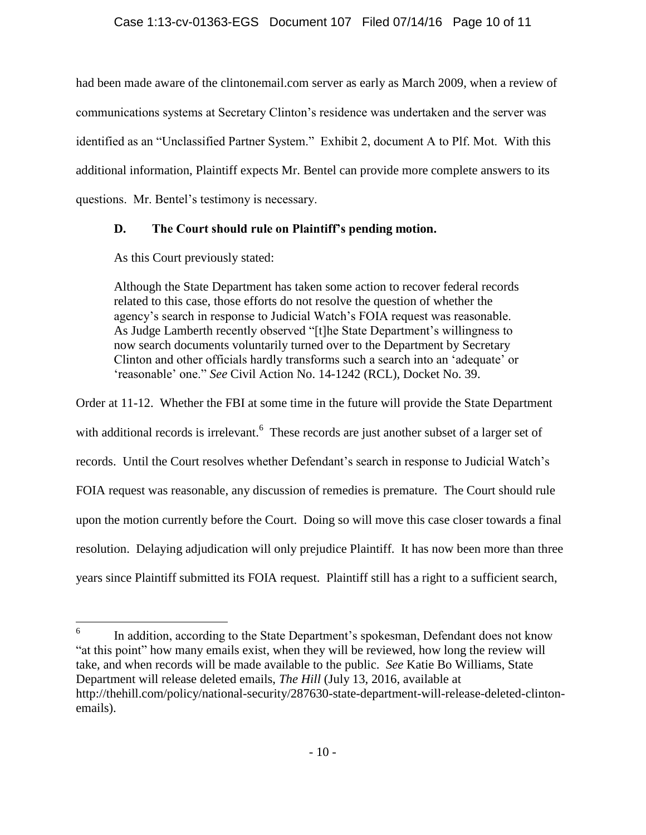had been made aware of the clintonemail.com server as early as March 2009, when a review of communications systems at Secretary Clinton's residence was undertaken and the server was identified as an "Unclassified Partner System." Exhibit 2, document A to Plf. Mot. With this additional information, Plaintiff expects Mr. Bentel can provide more complete answers to its questions. Mr. Bentel's testimony is necessary.

# **D. The Court should rule on Plaintiff's pending motion.**

As this Court previously stated:

Although the State Department has taken some action to recover federal records related to this case, those efforts do not resolve the question of whether the agency's search in response to Judicial Watch's FOIA request was reasonable. As Judge Lamberth recently observed "[t]he State Department's willingness to now search documents voluntarily turned over to the Department by Secretary Clinton and other officials hardly transforms such a search into an 'adequate' or 'reasonable' one." *See* Civil Action No. 14-1242 (RCL), Docket No. 39.

Order at 11-12. Whether the FBI at some time in the future will provide the State Department with additional records is irrelevant.  $6$  These records are just another subset of a larger set of records. Until the Court resolves whether Defendant's search in response to Judicial Watch's FOIA request was reasonable, any discussion of remedies is premature. The Court should rule upon the motion currently before the Court. Doing so will move this case closer towards a final resolution. Delaying adjudication will only prejudice Plaintiff. It has now been more than three years since Plaintiff submitted its FOIA request. Plaintiff still has a right to a sufficient search,

 6 In addition, according to the State Department's spokesman, Defendant does not know "at this point" how many emails exist, when they will be reviewed, how long the review will take, and when records will be made available to the public. *See* Katie Bo Williams, State Department will release deleted emails, *The Hill* (July 13, 2016, available at http://thehill.com/policy/national-security/287630-state-department-will-release-deleted-clintonemails).